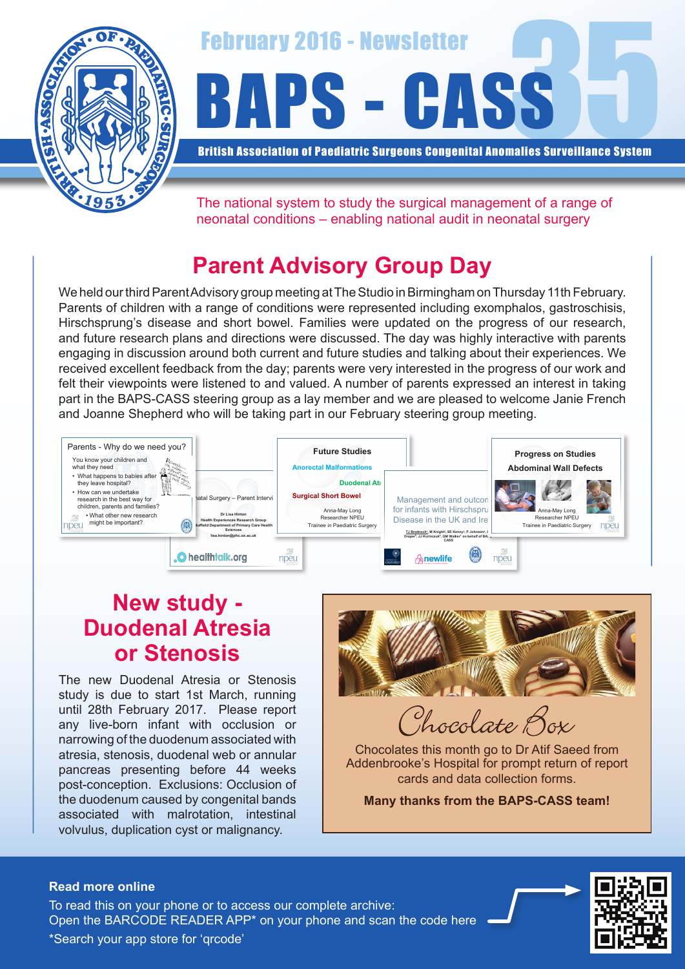



British Association of Paediatric Surgeons Congenital Anomalies Surveillance System

The national system to study the surgical management of a range of neonatal conditions – enabling national audit in neonatal surgery

# **Parent Advisory Group Day**

We held our third Parent Advisory group meeting at The Studio in Birmingham on Thursday 11th February. Parents of children with a range of conditions were represented including exomphalos, gastroschisis, Hirschsprung's disease and short bowel. Families were updated on the progress of our research, and future research plans and directions were discussed. The day was highly interactive with parents engaging in discussion around both current and future studies and talking about their experiences. We received excellent feedback from the day; parents were very interested in the progress of our work and felt their viewpoints were listened to and valued. A number of parents expressed an interest in taking part in the BAPS-CASS steering group as a lay member and we are pleased to welcome Janie French and Joanne Shepherd who will be taking part in our February steering group meeting.



### **New study - Duodenal Atresia or Stenosis**

The new Duodenal Atresia or Stenosis study is due to start 1st March, running until 28th February 2017. Please report any live-born infant with occlusion or narrowing of the duodenum associated with atresia, stenosis, duodenal web or annular pancreas presenting before 44 weeks post-conception. Exclusions: Occlusion of the duodenum caused by congenital bands associated with malrotation, intestinal volvulus, duplication cyst or malignancy.



hocolate Box

Chocolates this month go to Dr Atif Saeed from Addenbrooke's Hospital for prompt return of report cards and data collection forms.

**Many thanks from the BAPS-CASS team!**

#### **Read more online**

Open the BARCODE READER APP\* on your phone and scan the code here To read this on your phone or to access our complete archive: \*Search your app store for 'qrcode'